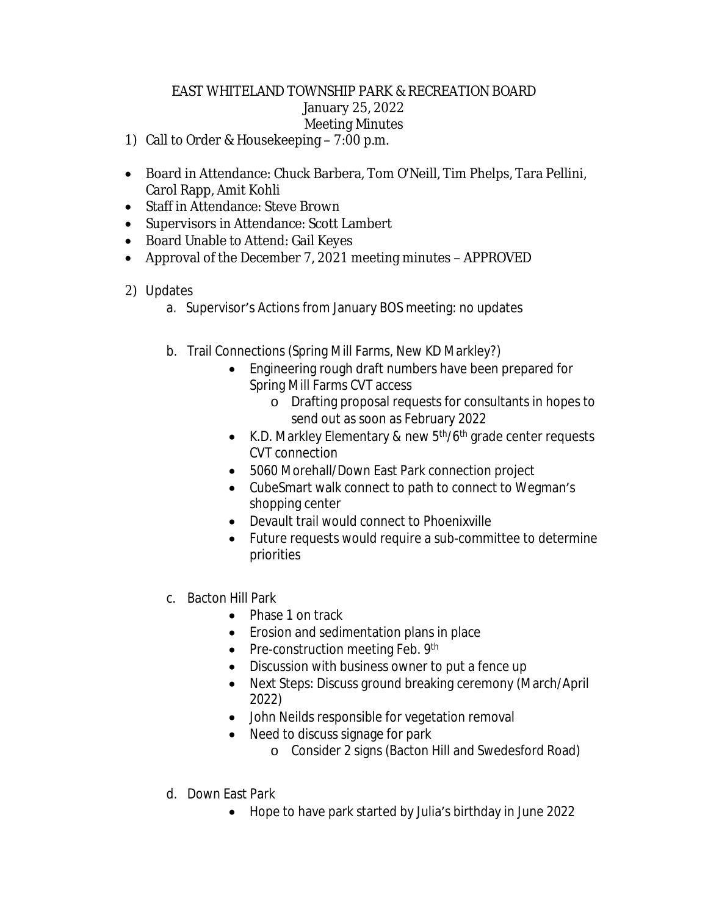## EAST WHITELAND TOWNSHIP PARK & RECREATION BOARD January 25, 2022 Meeting Minutes

- 1) Call to Order & Housekeeping 7:00 p.m.
- Board in Attendance: Chuck Barbera, Tom O'Neill, Tim Phelps, Tara Pellini, Carol Rapp, Amit Kohli
- Staff in Attendance: Steve Brown
- Supervisors in Attendance: Scott Lambert
- Board Unable to Attend: Gail Keyes
- Approval of the December 7, 2021 meeting minutes APPROVED

## 2) Updates

- a. Supervisor's Actions from January BOS meeting: no updates
- b. Trail Connections (Spring Mill Farms, New KD Markley?)
	- Engineering rough draft numbers have been prepared for Spring Mill Farms CVT access
		- o Drafting proposal requests for consultants in hopes to send out as soon as February 2022
	- K.D. Markley Elementary & new  $5<sup>th</sup>/6<sup>th</sup>$  grade center requests CVT connection
	- 5060 Morehall/Down East Park connection project
	- CubeSmart walk connect to path to connect to Wegman's shopping center
	- Devault trail would connect to Phoenixville
	- Future requests would require a sub-committee to determine priorities
- c. Bacton Hill Park
	- Phase 1 on track
	- Erosion and sedimentation plans in place
	- Pre-construction meeting Feb. 9th
	- Discussion with business owner to put a fence up
	- Next Steps: Discuss ground breaking ceremony (March/April 2022)
	- John Neilds responsible for vegetation removal
	- Need to discuss signage for park
		- o Consider 2 signs (Bacton Hill and Swedesford Road)
- d. Down East Park
	- Hope to have park started by Julia's birthday in June 2022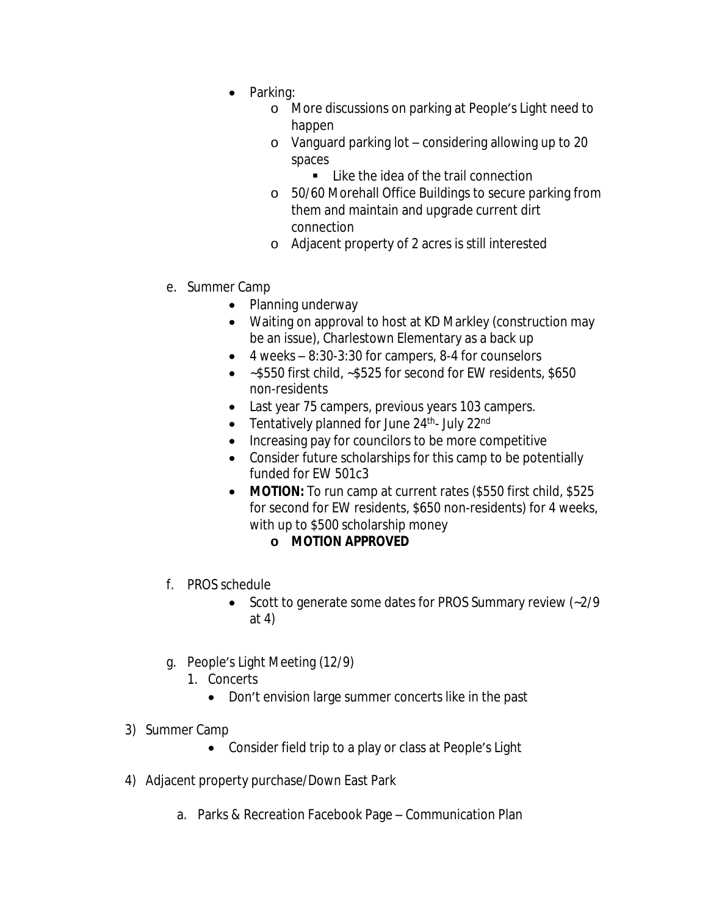- Parking:
	- o More discussions on parking at People's Light need to happen
	- o Vanguard parking lot considering allowing up to 20 spaces
		- Like the idea of the trail connection
	- o 50/60 Morehall Office Buildings to secure parking from them and maintain and upgrade current dirt connection
	- o Adjacent property of 2 acres is still interested
- e. Summer Camp
	- Planning underway
	- Waiting on approval to host at KD Markley (construction may be an issue), Charlestown Elementary as a back up
	- $\bullet$  4 weeks 8:30-3:30 for campers, 8-4 for counselors
	- ~\$550 first child, ~\$525 for second for EW residents, \$650 non-residents
	- Last year 75 campers, previous years 103 campers.
	- Tentatively planned for June  $24^{\text{th}}$  July  $22^{\text{nd}}$
	- Increasing pay for councilors to be more competitive
	- Consider future scholarships for this camp to be potentially funded for EW 501c3
	- **MOTION:** To run camp at current rates (\$550 first child, \$525 for second for EW residents, \$650 non-residents) for 4 weeks, with up to \$500 scholarship money
		- **o MOTION APPROVED**
- f. PROS schedule
	- Scott to generate some dates for PROS Summary review (~2/9 at 4)
- g. People's Light Meeting (12/9)
	- 1. Concerts
		- Don't envision large summer concerts like in the past
- 3) Summer Camp
	- Consider field trip to a play or class at People's Light
- 4) Adjacent property purchase/Down East Park
	- a. Parks & Recreation Facebook Page Communication Plan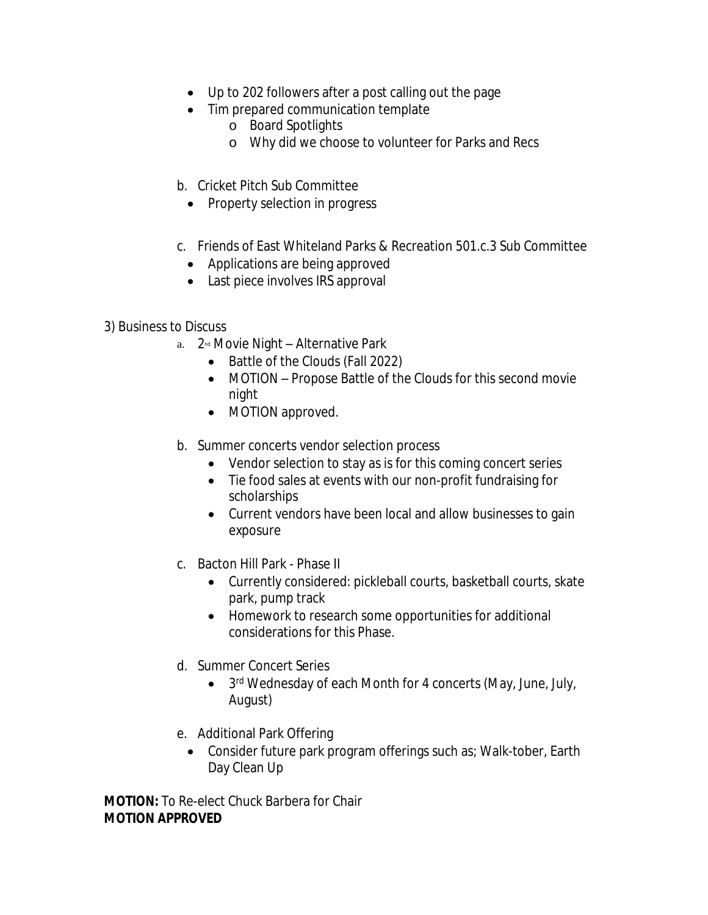- Up to 202 followers after a post calling out the page
- Tim prepared communication template
	- o Board Spotlights
	- o Why did we choose to volunteer for Parks and Recs
- b. Cricket Pitch Sub Committee
	- Property selection in progress
- c. Friends of East Whiteland Parks & Recreation 501.c.3 Sub Committee
	- Applications are being approved
	- Last piece involves IRS approval

3) Business to Discuss

- a.  $2^{nd}$  Movie Night Alternative Park
	- Battle of the Clouds (Fall 2022)
	- MOTION Propose Battle of the Clouds for this second movie night
	- MOTION approved.
- b. Summer concerts vendor selection process
	- Vendor selection to stay as is for this coming concert series
	- Tie food sales at events with our non-profit fundraising for scholarships
	- Current vendors have been local and allow businesses to gain exposure
- c. Bacton Hill Park Phase II
	- Currently considered: pickleball courts, basketball courts, skate park, pump track
	- Homework to research some opportunities for additional considerations for this Phase.
- d. Summer Concert Series
	- 3<sup>rd</sup> Wednesday of each Month for 4 concerts (May, June, July, August)
- e. Additional Park Offering
	- Consider future park program offerings such as; Walk-tober, Earth Day Clean Up

**MOTION:** To Re-elect Chuck Barbera for Chair **MOTION APPROVED**